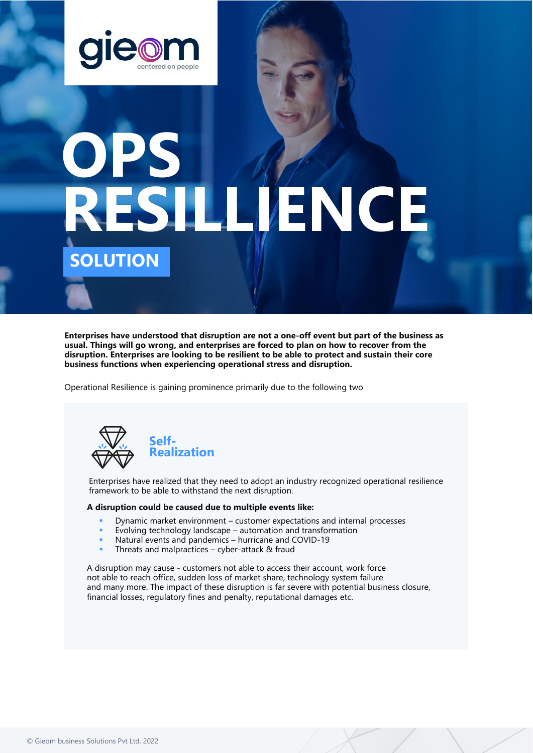

# **OPS RESILLIENCE SOLUTION**

**Enterprises have understood that disruption are not a one-off event but part of the business as usual. Things will go wrong, and enterprises are forced to plan on how to recover from the disruption. Enterprises are looking to be resilient to be able to protect and sustain their core business functions when experiencing operational stress and disruption.** 

Operational Resilience is gaining prominence primarily due to the following two



Enterprises have realized that they need to adopt an industry recognized operational resilience framework to be able to withstand the next disruption.

# **A disruption could be caused due to multiple events like:**

- Dynamic market environment customer expectations and internal processes
- Evolving technology landscape automation and transformation
- Natural events and pandemics hurricane and COVID-19
- Threats and malpractices  $-$  cyber-attack  $\&$  fraud

A disruption may cause - customers not able to access their account, work force not able to reach office, sudden loss of market share, technology system failure and many more. The impact of these disruption is far severe with potential business closure, financial losses, regulatory fines and penalty, reputational damages etc.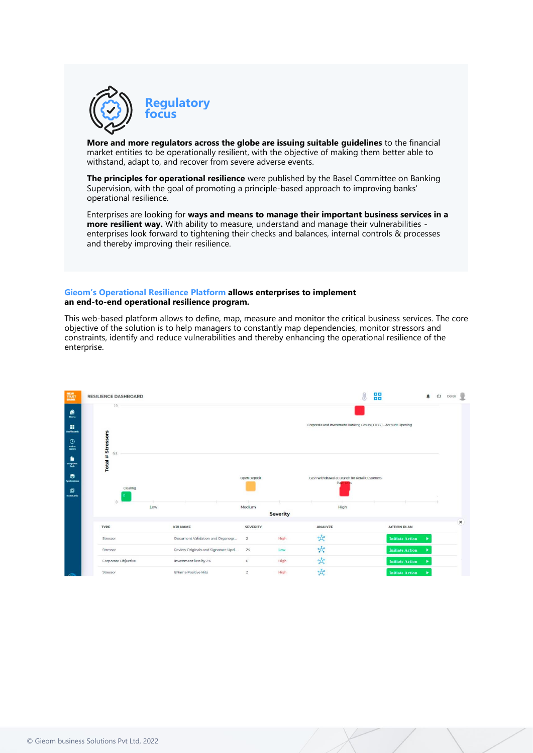

**More and more regulators across the globe are issuing suitable guidelines** to the financial market entities to be operationally resilient, with the objective of making them better able to withstand, adapt to, and recover from severe adverse events.

**The principles for operational resilience** were published by the Basel Committee on Banking Supervision, with the goal of promoting a principle-based approach to improving banks' operational resilience.

Enterprises are looking for **ways and means to manage their important business services in a more resilient way.** With ability to measure, understand and manage their vulnerabilities enterprises look forward to tightening their checks and balances, internal controls & processes and thereby improving their resilience.

### **Gieom's Operational Resilience Platform allows enterprises to implement an end-to-end operational resilience program.**

This web-based platform allows to define, map, measure and monitor the critical business services. The core objective of the solution is to help managers to constantly map dependencies, monitor stressors and constraints, identify and reduce vulnerabilities and thereby enhancing the operational resilience of the enterprise.

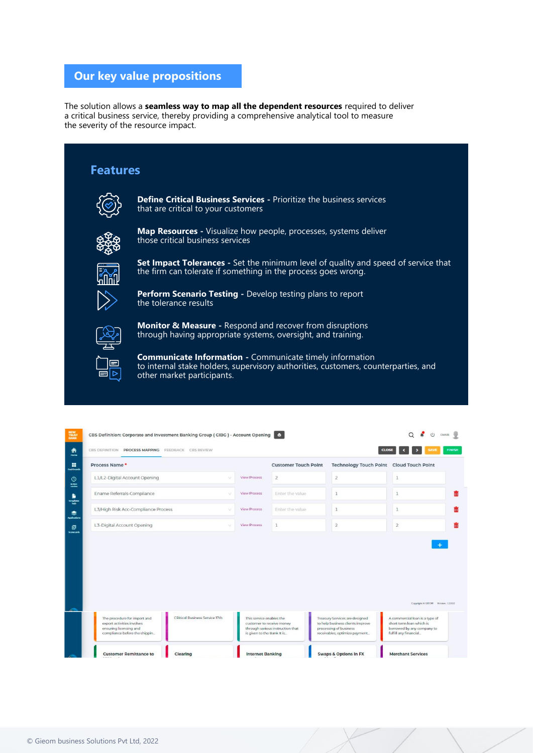# **Our key value propositions**

The solution allows a **seamless way to map all the dependent resources** required to deliver a critical business service, thereby providing a comprehensive analytical tool to measure the severity of the resource impact.



| Process Name*                                 |                                                           |                     | <b>Customer Touch Point</b> | Technology Touch Point Cloud Touch Point |   |
|-----------------------------------------------|-----------------------------------------------------------|---------------------|-----------------------------|------------------------------------------|---|
| L1/L2-Digital Account Opening                 | $\sim$                                                    | <b>View Process</b> | $\overline{2}$              | $\overline{2}$                           | 1 |
| Ename Referrals-Compliance                    |                                                           | <b>View Process</b> | Enter the value             | $\mathbf{1}$                             | 1 |
| L3/High Risk Acc-Compliance Process<br>$\sim$ |                                                           | <b>View Process</b> | Enter the value             | $\mathbf{1}$                             | ı |
|                                               | L3-Digital Account Opening<br>$\mathcal{L}_{\mathcal{F}}$ |                     |                             |                                          |   |
|                                               |                                                           | <b>View Process</b> | $\mathbf{1}$                | $\overline{2}$                           | 2 |